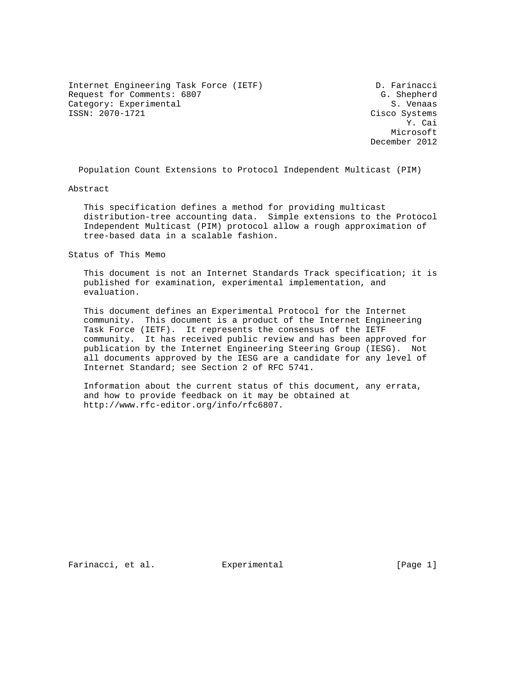Internet Engineering Task Force (IETF) D. Farinacci Request for Comments: 6807 and the comments of the comments of the comments of the comments of the comments of the comments of the comments of the comments of the comments of the comments of the comments of the comments of Category: Experimental ISSN: 2070-1721 Cisco Systems

 Y. Cai Microsoft December 2012

Population Count Extensions to Protocol Independent Multicast (PIM)

Abstract

 This specification defines a method for providing multicast distribution-tree accounting data. Simple extensions to the Protocol Independent Multicast (PIM) protocol allow a rough approximation of tree-based data in a scalable fashion.

Status of This Memo

 This document is not an Internet Standards Track specification; it is published for examination, experimental implementation, and evaluation.

 This document defines an Experimental Protocol for the Internet community. This document is a product of the Internet Engineering Task Force (IETF). It represents the consensus of the IETF community. It has received public review and has been approved for publication by the Internet Engineering Steering Group (IESG). Not all documents approved by the IESG are a candidate for any level of Internet Standard; see Section 2 of RFC 5741.

 Information about the current status of this document, any errata, and how to provide feedback on it may be obtained at http://www.rfc-editor.org/info/rfc6807.

Farinacci, et al. Experimental [Page 1]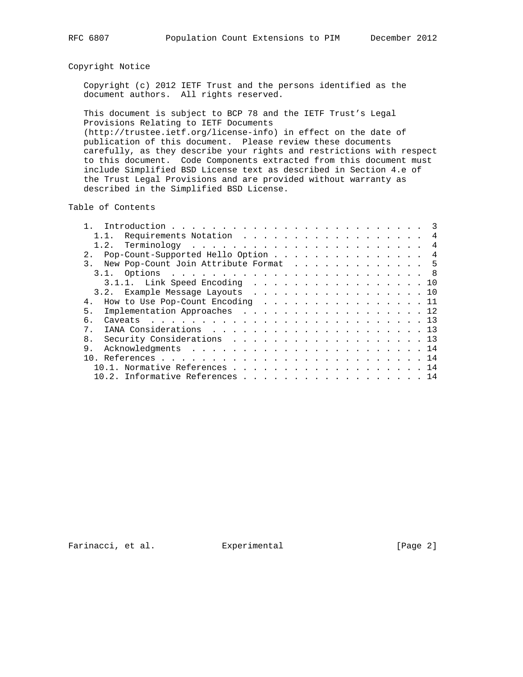## Copyright Notice

 Copyright (c) 2012 IETF Trust and the persons identified as the document authors. All rights reserved.

 This document is subject to BCP 78 and the IETF Trust's Legal Provisions Relating to IETF Documents (http://trustee.ietf.org/license-info) in effect on the date of

 publication of this document. Please review these documents carefully, as they describe your rights and restrictions with respect to this document. Code Components extracted from this document must include Simplified BSD License text as described in Section 4.e of the Trust Legal Provisions and are provided without warranty as described in the Simplified BSD License.

Table of Contents

|       | 1.1. Requirements Notation 4          |  |  |  |  |  |  |  |  |  |  |
|-------|---------------------------------------|--|--|--|--|--|--|--|--|--|--|
|       |                                       |  |  |  |  |  |  |  |  |  |  |
|       | Pop-Count-Supported Hello Option 4    |  |  |  |  |  |  |  |  |  |  |
| 3.    | New Pop-Count Join Attribute Format 5 |  |  |  |  |  |  |  |  |  |  |
|       |                                       |  |  |  |  |  |  |  |  |  |  |
|       | $3.1.1.$ Link Speed Encoding 10       |  |  |  |  |  |  |  |  |  |  |
|       | 3.2. Example Message Layouts 10       |  |  |  |  |  |  |  |  |  |  |
| $4$ . | How to Use Pop-Count Encoding 11      |  |  |  |  |  |  |  |  |  |  |
| 5.    | Implementation Approaches 12          |  |  |  |  |  |  |  |  |  |  |
| б.    |                                       |  |  |  |  |  |  |  |  |  |  |
| $7$ . |                                       |  |  |  |  |  |  |  |  |  |  |
| 8.    | Security Considerations 13            |  |  |  |  |  |  |  |  |  |  |
| 9.    |                                       |  |  |  |  |  |  |  |  |  |  |
|       |                                       |  |  |  |  |  |  |  |  |  |  |
|       | 10.1. Normative References 14         |  |  |  |  |  |  |  |  |  |  |
|       | 10.2. Informative References 14       |  |  |  |  |  |  |  |  |  |  |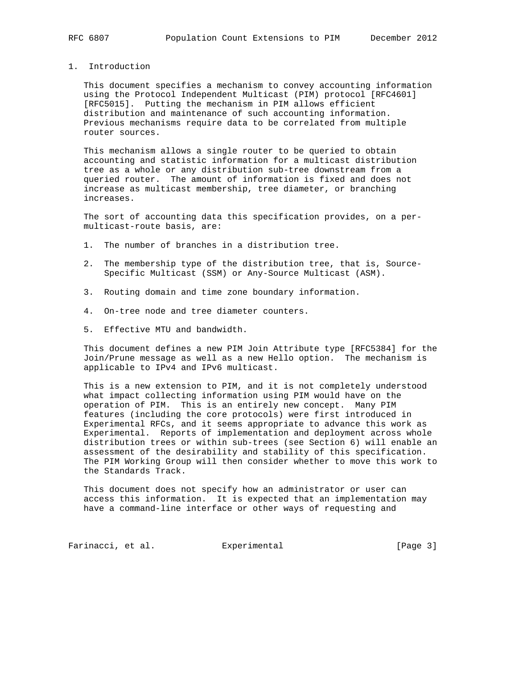## 1. Introduction

 This document specifies a mechanism to convey accounting information using the Protocol Independent Multicast (PIM) protocol [RFC4601] [RFC5015]. Putting the mechanism in PIM allows efficient distribution and maintenance of such accounting information. Previous mechanisms require data to be correlated from multiple router sources.

 This mechanism allows a single router to be queried to obtain accounting and statistic information for a multicast distribution tree as a whole or any distribution sub-tree downstream from a queried router. The amount of information is fixed and does not increase as multicast membership, tree diameter, or branching increases.

 The sort of accounting data this specification provides, on a per multicast-route basis, are:

- 1. The number of branches in a distribution tree.
- 2. The membership type of the distribution tree, that is, Source- Specific Multicast (SSM) or Any-Source Multicast (ASM).
- 3. Routing domain and time zone boundary information.
- 4. On-tree node and tree diameter counters.
- 5. Effective MTU and bandwidth.

 This document defines a new PIM Join Attribute type [RFC5384] for the Join/Prune message as well as a new Hello option. The mechanism is applicable to IPv4 and IPv6 multicast.

 This is a new extension to PIM, and it is not completely understood what impact collecting information using PIM would have on the operation of PIM. This is an entirely new concept. Many PIM features (including the core protocols) were first introduced in Experimental RFCs, and it seems appropriate to advance this work as Experimental. Reports of implementation and deployment across whole distribution trees or within sub-trees (see Section 6) will enable an assessment of the desirability and stability of this specification. The PIM Working Group will then consider whether to move this work to the Standards Track.

 This document does not specify how an administrator or user can access this information. It is expected that an implementation may have a command-line interface or other ways of requesting and

Farinacci, et al. Experimental Farinacci [Page 3]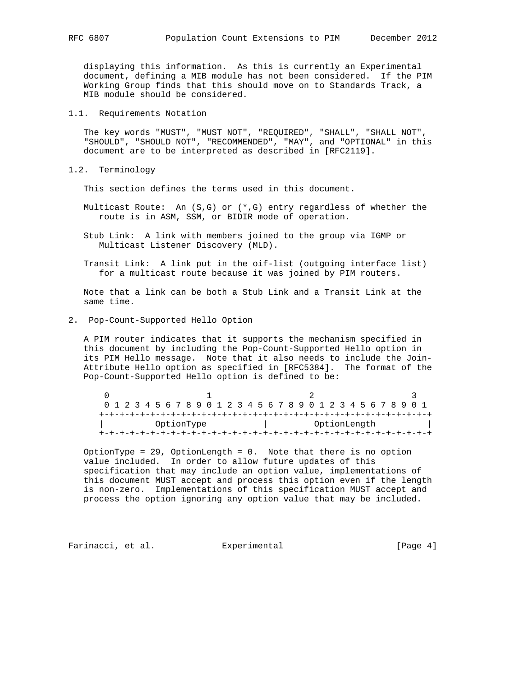displaying this information. As this is currently an Experimental document, defining a MIB module has not been considered. If the PIM Working Group finds that this should move on to Standards Track, a MIB module should be considered.

#### 1.1. Requirements Notation

 The key words "MUST", "MUST NOT", "REQUIRED", "SHALL", "SHALL NOT", "SHOULD", "SHOULD NOT", "RECOMMENDED", "MAY", and "OPTIONAL" in this document are to be interpreted as described in [RFC2119].

1.2. Terminology

This section defines the terms used in this document.

- Multicast Route: An (S,G) or (\*,G) entry regardless of whether the route is in ASM, SSM, or BIDIR mode of operation.
- Stub Link: A link with members joined to the group via IGMP or Multicast Listener Discovery (MLD).
- Transit Link: A link put in the oif-list (outgoing interface list) for a multicast route because it was joined by PIM routers.

 Note that a link can be both a Stub Link and a Transit Link at the same time.

2. Pop-Count-Supported Hello Option

 A PIM router indicates that it supports the mechanism specified in this document by including the Pop-Count-Supported Hello option in its PIM Hello message. Note that it also needs to include the Join- Attribute Hello option as specified in [RFC5384]. The format of the Pop-Count-Supported Hello option is defined to be:

| 0 1 2 3 4 5 6 7 8 9 0 1 2 3 4 5 6 7 8 9 0 1 2 3 4 5 6 7 8 9 0 1 |  |  |  |  |  |  |  |  |  |  |  |              |  |  |  |  |  |  |  |  |  |  |  |  |  |  |  |  |  |
|-----------------------------------------------------------------|--|--|--|--|--|--|--|--|--|--|--|--------------|--|--|--|--|--|--|--|--|--|--|--|--|--|--|--|--|--|
|                                                                 |  |  |  |  |  |  |  |  |  |  |  |              |  |  |  |  |  |  |  |  |  |  |  |  |  |  |  |  |  |
| OptionType                                                      |  |  |  |  |  |  |  |  |  |  |  | OptionLength |  |  |  |  |  |  |  |  |  |  |  |  |  |  |  |  |  |
|                                                                 |  |  |  |  |  |  |  |  |  |  |  |              |  |  |  |  |  |  |  |  |  |  |  |  |  |  |  |  |  |

 OptionType = 29, OptionLength = 0. Note that there is no option value included. In order to allow future updates of this specification that may include an option value, implementations of this document MUST accept and process this option even if the length is non-zero. Implementations of this specification MUST accept and process the option ignoring any option value that may be included.

Farinacci, et al. Experimental [Page 4]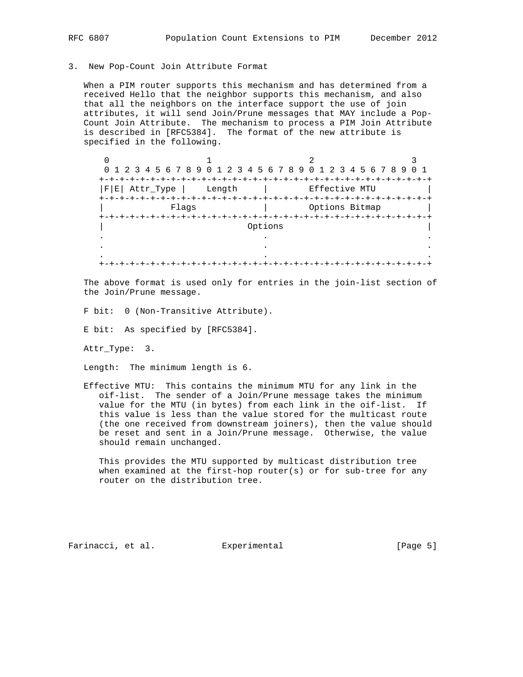#### 3. New Pop-Count Join Attribute Format

 When a PIM router supports this mechanism and has determined from a received Hello that the neighbor supports this mechanism, and also that all the neighbors on the interface support the use of join attributes, it will send Join/Prune messages that MAY include a Pop- Count Join Attribute. The mechanism to process a PIM Join Attribute is described in [RFC5384]. The format of the new attribute is specified in the following.

|                   | 0 1 2 3 4 5 6 7 8 9 0 1 2 3 4 5 6 7 8 9 0 1 2 3 4 5 6 7 8 9 |         |                | O 1 |
|-------------------|-------------------------------------------------------------|---------|----------------|-----|
| +-+-+-+-+         |                                                             |         |                |     |
| $ F E $ Attr_Type | Length                                                      |         | Effective MTU  |     |
| +-+-+-+-+-+-+-+-  |                                                             |         |                |     |
|                   | Flags                                                       |         | Options Bitmap |     |
|                   |                                                             |         |                |     |
|                   |                                                             | Options |                |     |
|                   |                                                             |         |                |     |
|                   |                                                             |         |                |     |
|                   |                                                             |         |                |     |
|                   |                                                             |         |                |     |

 The above format is used only for entries in the join-list section of the Join/Prune message.

F bit: 0 (Non-Transitive Attribute).

E bit: As specified by [RFC5384].

Attr\_Type: 3.

Length: The minimum length is 6.

 Effective MTU: This contains the minimum MTU for any link in the oif-list. The sender of a Join/Prune message takes the minimum value for the MTU (in bytes) from each link in the oif-list. If this value is less than the value stored for the multicast route (the one received from downstream joiners), then the value should be reset and sent in a Join/Prune message. Otherwise, the value should remain unchanged.

 This provides the MTU supported by multicast distribution tree when examined at the first-hop router(s) or for sub-tree for any router on the distribution tree.

Farinacci, et al. Experimental [Page 5]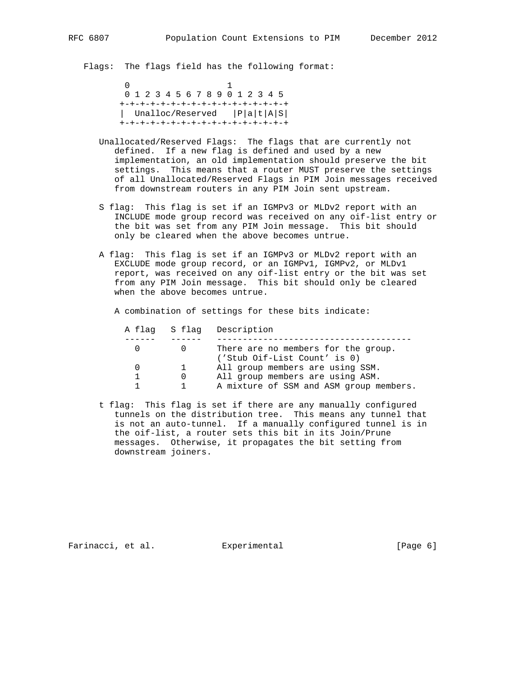Flags: The flags field has the following format:

 $\sim$  0  $\sim$  1 0 1 2 3 4 5 6 7 8 9 0 1 2 3 4 5 +-+-+-+-+-+-+-+-+-+-+-+-+-+-+-+-+ | Unalloc/Reserved |P|a|t|A|S| +-+-+-+-+-+-+-+-+-+-+-+-+-+-+-+-+

- Unallocated/Reserved Flags: The flags that are currently not defined. If a new flag is defined and used by a new implementation, an old implementation should preserve the bit settings. This means that a router MUST preserve the settings of all Unallocated/Reserved Flags in PIM Join messages received from downstream routers in any PIM Join sent upstream.
- S flag: This flag is set if an IGMPv3 or MLDv2 report with an INCLUDE mode group record was received on any oif-list entry or the bit was set from any PIM Join message. This bit should only be cleared when the above becomes untrue.
- A flag: This flag is set if an IGMPv3 or MLDv2 report with an EXCLUDE mode group record, or an IGMPv1, IGMPv2, or MLDv1 report, was received on any oif-list entry or the bit was set from any PIM Join message. This bit should only be cleared when the above becomes untrue.

A combination of settings for these bits indicate:

|  |              | A flag S flag Description                                           |
|--|--------------|---------------------------------------------------------------------|
|  |              |                                                                     |
|  |              | There are no members for the group.<br>('Stub Oif-List Count' is 0) |
|  | $\mathbf{1}$ | All group members are using SSM.                                    |
|  |              | All group members are using ASM.                                    |
|  |              | A mixture of SSM and ASM group members.                             |

 t flag: This flag is set if there are any manually configured tunnels on the distribution tree. This means any tunnel that is not an auto-tunnel. If a manually configured tunnel is in the oif-list, a router sets this bit in its Join/Prune messages. Otherwise, it propagates the bit setting from downstream joiners.

Farinacci, et al. Experimental [Page 6]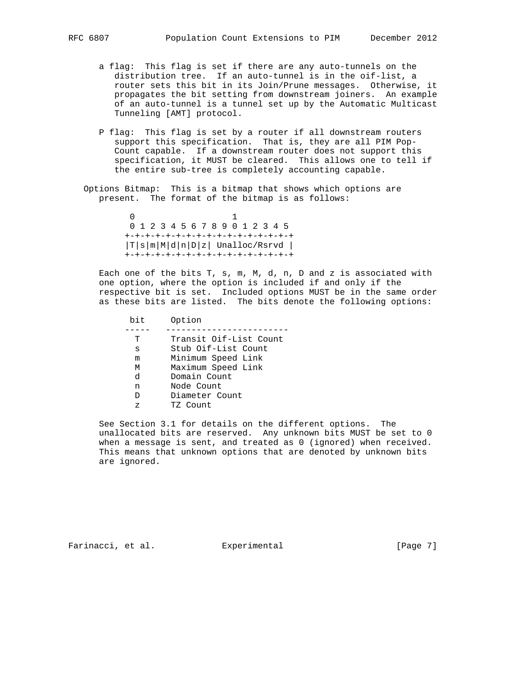- a flag: This flag is set if there are any auto-tunnels on the distribution tree. If an auto-tunnel is in the oif-list, a router sets this bit in its Join/Prune messages. Otherwise, it propagates the bit setting from downstream joiners. An example of an auto-tunnel is a tunnel set up by the Automatic Multicast Tunneling [AMT] protocol.
- P flag: This flag is set by a router if all downstream routers support this specification. That is, they are all PIM Pop- Count capable. If a downstream router does not support this specification, it MUST be cleared. This allows one to tell if the entire sub-tree is completely accounting capable.
- Options Bitmap: This is a bitmap that shows which options are present. The format of the bitmap is as follows:

 $\sim$  0  $\sim$  1 0 1 2 3 4 5 6 7 8 9 0 1 2 3 4 5 +-+-+-+-+-+-+-+-+-+-+-+-+-+-+-+-+ |T|s|m|M|d|n|D|z| Unalloc/Rsrvd | +-+-+-+-+-+-+-+-+-+-+-+-+-+-+-+-+

> Each one of the bits T, s, m, M, d, n, D and z is associated with one option, where the option is included if and only if the respective bit is set. Included options MUST be in the same order as these bits are listed. The bits denote the following options:

 bit Option ----- ------------------------ T Transit Oif-List Count s Stub Oif-List Count m Minimum Speed Link M Maximum Speed Link d Domain Count<br>n Node Count n Mode Count D Diameter Count z TZ Count

> See Section 3.1 for details on the different options. The unallocated bits are reserved. Any unknown bits MUST be set to 0 when a message is sent, and treated as 0 (ignored) when received. This means that unknown options that are denoted by unknown bits are ignored.

Farinacci, et al. Experimental [Page 7]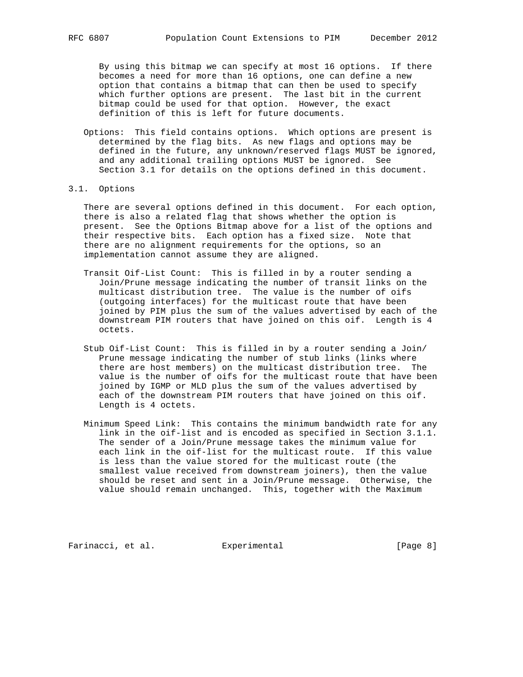By using this bitmap we can specify at most 16 options. If there becomes a need for more than 16 options, one can define a new option that contains a bitmap that can then be used to specify which further options are present. The last bit in the current bitmap could be used for that option. However, the exact definition of this is left for future documents.

 Options: This field contains options. Which options are present is determined by the flag bits. As new flags and options may be defined in the future, any unknown/reserved flags MUST be ignored, and any additional trailing options MUST be ignored. See Section 3.1 for details on the options defined in this document.

# 3.1. Options

 There are several options defined in this document. For each option, there is also a related flag that shows whether the option is present. See the Options Bitmap above for a list of the options and their respective bits. Each option has a fixed size. Note that there are no alignment requirements for the options, so an implementation cannot assume they are aligned.

- Transit Oif-List Count: This is filled in by a router sending a Join/Prune message indicating the number of transit links on the multicast distribution tree. The value is the number of oifs (outgoing interfaces) for the multicast route that have been joined by PIM plus the sum of the values advertised by each of the downstream PIM routers that have joined on this oif. Length is 4 octets.
- Stub Oif-List Count: This is filled in by a router sending a Join/ Prune message indicating the number of stub links (links where there are host members) on the multicast distribution tree. The value is the number of oifs for the multicast route that have been joined by IGMP or MLD plus the sum of the values advertised by each of the downstream PIM routers that have joined on this oif. Length is 4 octets.
- Minimum Speed Link: This contains the minimum bandwidth rate for any link in the oif-list and is encoded as specified in Section 3.1.1. The sender of a Join/Prune message takes the minimum value for each link in the oif-list for the multicast route. If this value is less than the value stored for the multicast route (the smallest value received from downstream joiners), then the value should be reset and sent in a Join/Prune message. Otherwise, the value should remain unchanged. This, together with the Maximum

Farinacci, et al. Experimental [Page 8]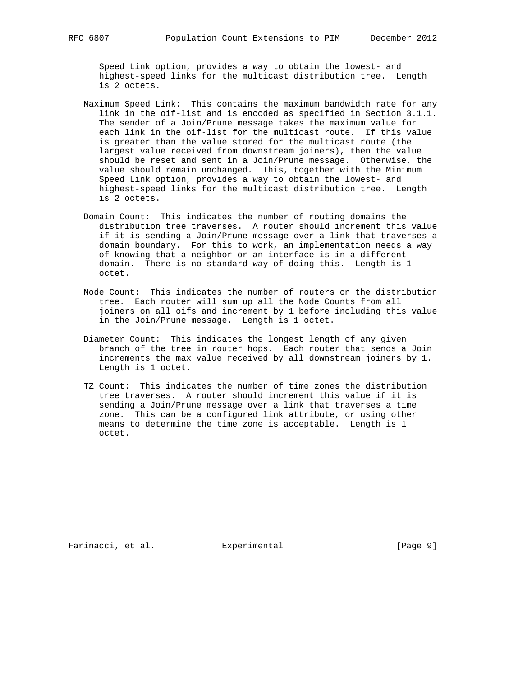Speed Link option, provides a way to obtain the lowest- and highest-speed links for the multicast distribution tree. Length is 2 octets.

- Maximum Speed Link: This contains the maximum bandwidth rate for any link in the oif-list and is encoded as specified in Section 3.1.1. The sender of a Join/Prune message takes the maximum value for each link in the oif-list for the multicast route. If this value is greater than the value stored for the multicast route (the largest value received from downstream joiners), then the value should be reset and sent in a Join/Prune message. Otherwise, the value should remain unchanged. This, together with the Minimum Speed Link option, provides a way to obtain the lowest- and highest-speed links for the multicast distribution tree. Length is 2 octets.
- Domain Count: This indicates the number of routing domains the distribution tree traverses. A router should increment this value if it is sending a Join/Prune message over a link that traverses a domain boundary. For this to work, an implementation needs a way of knowing that a neighbor or an interface is in a different domain. There is no standard way of doing this. Length is 1 octet.
- Node Count: This indicates the number of routers on the distribution tree. Each router will sum up all the Node Counts from all joiners on all oifs and increment by 1 before including this value in the Join/Prune message. Length is 1 octet.
- Diameter Count: This indicates the longest length of any given branch of the tree in router hops. Each router that sends a Join increments the max value received by all downstream joiners by 1. Length is 1 octet.
- TZ Count: This indicates the number of time zones the distribution tree traverses. A router should increment this value if it is sending a Join/Prune message over a link that traverses a time zone. This can be a configured link attribute, or using other means to determine the time zone is acceptable. Length is 1 octet.

Farinacci, et al. Experimental [Page 9]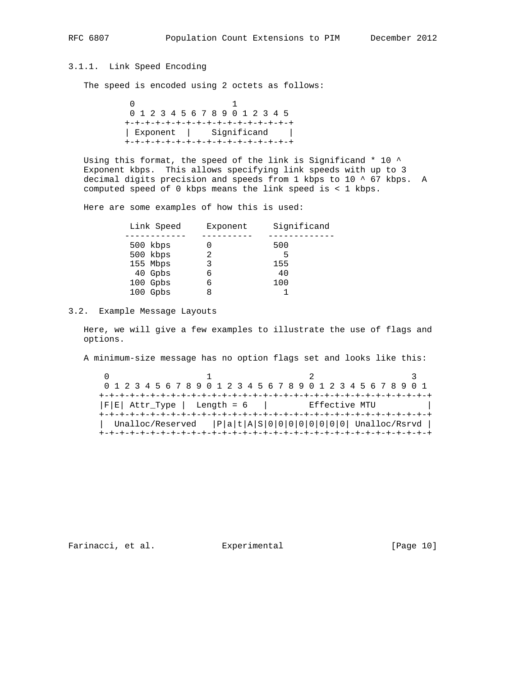# 3.1.1. Link Speed Encoding

The speed is encoded using 2 octets as follows:

 $\sim$  0  $\sim$  1 0 1 2 3 4 5 6 7 8 9 0 1 2 3 4 5 +-+-+-+-+-+-+-+-+-+-+-+-+-+-+-+-+ | Exponent | Significand | +-+-+-+-+-+-+-+-+-+-+-+-+-+-+-+-+

Using this format, the speed of the link is Significand  $*$  10  $\land$  Exponent kbps. This allows specifying link speeds with up to 3 decimal digits precision and speeds from 1 kbps to 10 ^ 67 kbps. A computed speed of 0 kbps means the link speed is < 1 kbps.

Here are some examples of how this is used:

| Link Speed | Exponent | Significand |
|------------|----------|-------------|
|            |          |             |
| 500 kbps   |          | 500         |
| 500 kbps   |          | 5           |
| 155 Mbps   | 3        | 155         |
| 40 Gpbs    | 6        | 40          |
| 100 Gpbs   | 6        | 100         |
| 100 Gpbs   |          |             |

## 3.2. Example Message Layouts

 Here, we will give a few examples to illustrate the use of flags and options.

A minimum-size message has no option flags set and looks like this:

|                                                 |  |  |  |  | 0 1 2 3 4 5 6 7 8 9 0 1 2 3 4 5 6 7 8 9 0 1 2 3 4 5 6 7 8 9 0 1 |  |  |  |  |  |  |  |  |  |  |  |  |  |  |  |  |  |  |  |  |  |  |  |  |
|-------------------------------------------------|--|--|--|--|-----------------------------------------------------------------|--|--|--|--|--|--|--|--|--|--|--|--|--|--|--|--|--|--|--|--|--|--|--|--|
|                                                 |  |  |  |  |                                                                 |  |  |  |  |  |  |  |  |  |  |  |  |  |  |  |  |  |  |  |  |  |  |  |  |
| $ F E $ Attr_Type   Length = 6<br>Effective MTU |  |  |  |  |                                                                 |  |  |  |  |  |  |  |  |  |  |  |  |  |  |  |  |  |  |  |  |  |  |  |  |
|                                                 |  |  |  |  |                                                                 |  |  |  |  |  |  |  |  |  |  |  |  |  |  |  |  |  |  |  |  |  |  |  |  |
|                                                 |  |  |  |  | Unalloc/Reserved $ P a t A S 0 0 0 0 0 0 0 0 $ Unalloc/Rsrvd    |  |  |  |  |  |  |  |  |  |  |  |  |  |  |  |  |  |  |  |  |  |  |  |  |
|                                                 |  |  |  |  |                                                                 |  |  |  |  |  |  |  |  |  |  |  |  |  |  |  |  |  |  |  |  |  |  |  |  |

Farinacci, et al. Experimental [Page 10]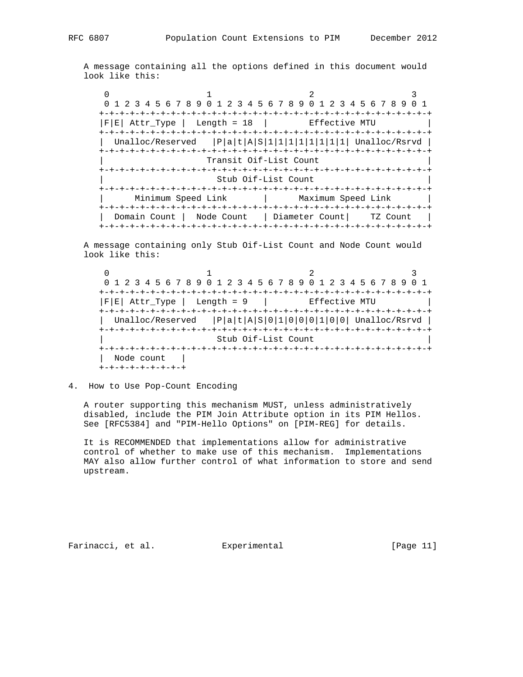A message containing all the options defined in this document would look like this:

 $0$  1 2 3 0 1 2 3 4 5 6 7 8 9 0 1 2 3 4 5 6 7 8 9 0 1 2 3 4 5 6 7 8 9 0 1 +-+-+-+-+-+-+-+-+-+-+-+-+-+-+-+-+-+-+-+-+-+-+-+-+-+-+-+-+-+-+-+-+  $|F|E|$  Attr\_Type | Length = 18 | Effective MTU +-+-+-+-+-+-+-+-+-+-+-+-+-+-+-+-+-+-+-+-+-+-+-+-+-+-+-+-+-+-+-+-+ Unalloc/Reserved  $|P|a|t|A|S|1|1|1|1|1|1|1|$  Unalloc/Rsrvd | +-+-+-+-+-+-+-+-+-+-+-+-+-+-+-+-+-+-+-+-+-+-+-+-+-+-+-+-+-+-+-+-+ | Transit Oif-List Count | +-+-+-+-+-+-+-+-+-+-+-+-+-+-+-+-+-+-+-+-+-+-+-+-+-+-+-+-+-+-+-+-+ Stub Oif-List Count +-+-+-+-+-+-+-+-+-+-+-+-+-+-+-+-+-+-+-+-+-+-+-+-+-+-+-+-+-+-+-+-+ | Minimum Speed Link | Maximum Speed Link | +-+-+-+-+-+-+-+-+-+-+-+-+-+-+-+-+-+-+-+-+-+-+-+-+-+-+-+-+-+-+-+-+ | Domain Count | Node Count | Diameter Count| TZ Count | +-+-+-+-+-+-+-+-+-+-+-+-+-+-+-+-+-+-+-+-+-+-+-+-+-+-+-+-+-+-+-+-+

 A message containing only Stub Oif-List Count and Node Count would look like this:

 $0$  1 2 3 0 1 2 3 4 5 6 7 8 9 0 1 2 3 4 5 6 7 8 9 0 1 2 3 4 5 6 7 8 9 0 1 +-+-+-+-+-+-+-+-+-+-+-+-+-+-+-+-+-+-+-+-+-+-+-+-+-+-+-+-+-+-+-+-+  $|F|E|$  Attr\_Type | Length = 9 | Effective MTU +-+-+-+-+-+-+-+-+-+-+-+-+-+-+-+-+-+-+-+-+-+-+-+-+-+-+-+-+-+-+-+-+ | Unalloc/Reserved |P|a|t|A|S|0|1|0|0|0|1|0|0| Unalloc/Rsrvd | +-+-+-+-+-+-+-+-+-+-+-+-+-+-+-+-+-+-+-+-+-+-+-+-+-+-+-+-+-+-+-+-+ | Stub Oif-List Count | +-+-+-+-+-+-+-+-+-+-+-+-+-+-+-+-+-+-+-+-+-+-+-+-+-+-+-+-+-+-+-+-+ | Node count | +-+-+-+-+-+-+-+-+

4. How to Use Pop-Count Encoding

 A router supporting this mechanism MUST, unless administratively disabled, include the PIM Join Attribute option in its PIM Hellos. See [RFC5384] and "PIM-Hello Options" on [PIM-REG] for details.

 It is RECOMMENDED that implementations allow for administrative control of whether to make use of this mechanism. Implementations MAY also allow further control of what information to store and send upstream.

Farinacci, et al. Experimental [Page 11]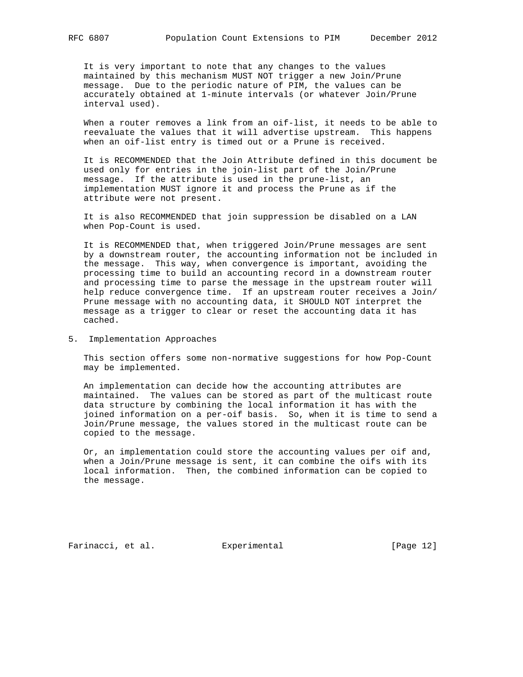It is very important to note that any changes to the values maintained by this mechanism MUST NOT trigger a new Join/Prune message. Due to the periodic nature of PIM, the values can be accurately obtained at 1-minute intervals (or whatever Join/Prune interval used).

 When a router removes a link from an oif-list, it needs to be able to reevaluate the values that it will advertise upstream. This happens when an oif-list entry is timed out or a Prune is received.

 It is RECOMMENDED that the Join Attribute defined in this document be used only for entries in the join-list part of the Join/Prune message. If the attribute is used in the prune-list, an implementation MUST ignore it and process the Prune as if the attribute were not present.

 It is also RECOMMENDED that join suppression be disabled on a LAN when Pop-Count is used.

 It is RECOMMENDED that, when triggered Join/Prune messages are sent by a downstream router, the accounting information not be included in the message. This way, when convergence is important, avoiding the processing time to build an accounting record in a downstream router and processing time to parse the message in the upstream router will help reduce convergence time. If an upstream router receives a Join/ Prune message with no accounting data, it SHOULD NOT interpret the message as a trigger to clear or reset the accounting data it has cached.

5. Implementation Approaches

 This section offers some non-normative suggestions for how Pop-Count may be implemented.

 An implementation can decide how the accounting attributes are maintained. The values can be stored as part of the multicast route data structure by combining the local information it has with the joined information on a per-oif basis. So, when it is time to send a Join/Prune message, the values stored in the multicast route can be copied to the message.

 Or, an implementation could store the accounting values per oif and, when a Join/Prune message is sent, it can combine the oifs with its local information. Then, the combined information can be copied to the message.

Farinacci, et al. Experimental [Page 12]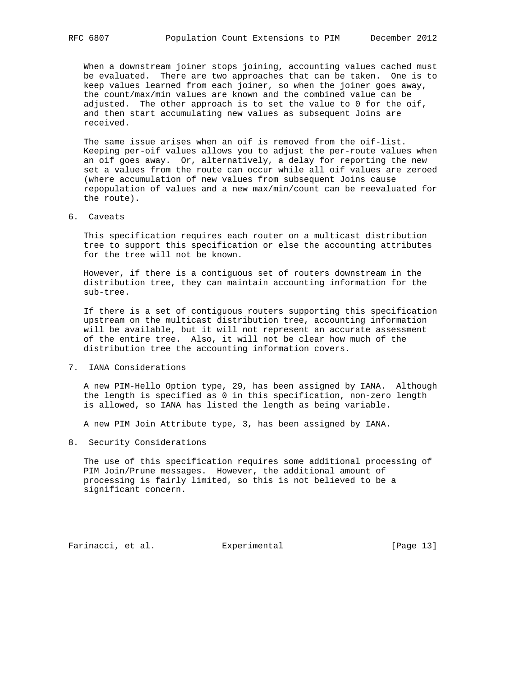When a downstream joiner stops joining, accounting values cached must be evaluated. There are two approaches that can be taken. One is to keep values learned from each joiner, so when the joiner goes away, the count/max/min values are known and the combined value can be adjusted. The other approach is to set the value to 0 for the oif, and then start accumulating new values as subsequent Joins are received.

 The same issue arises when an oif is removed from the oif-list. Keeping per-oif values allows you to adjust the per-route values when an oif goes away. Or, alternatively, a delay for reporting the new set a values from the route can occur while all oif values are zeroed (where accumulation of new values from subsequent Joins cause repopulation of values and a new max/min/count can be reevaluated for the route).

6. Caveats

 This specification requires each router on a multicast distribution tree to support this specification or else the accounting attributes for the tree will not be known.

 However, if there is a contiguous set of routers downstream in the distribution tree, they can maintain accounting information for the sub-tree.

 If there is a set of contiguous routers supporting this specification upstream on the multicast distribution tree, accounting information will be available, but it will not represent an accurate assessment of the entire tree. Also, it will not be clear how much of the distribution tree the accounting information covers.

7. IANA Considerations

 A new PIM-Hello Option type, 29, has been assigned by IANA. Although the length is specified as 0 in this specification, non-zero length is allowed, so IANA has listed the length as being variable.

A new PIM Join Attribute type, 3, has been assigned by IANA.

8. Security Considerations

 The use of this specification requires some additional processing of PIM Join/Prune messages. However, the additional amount of processing is fairly limited, so this is not believed to be a significant concern.

Farinacci, et al. Experimental [Page 13]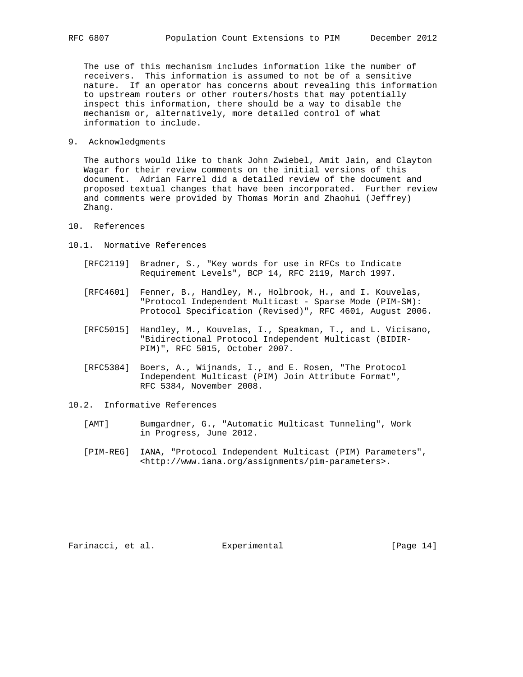The use of this mechanism includes information like the number of receivers. This information is assumed to not be of a sensitive nature. If an operator has concerns about revealing this information to upstream routers or other routers/hosts that may potentially inspect this information, there should be a way to disable the mechanism or, alternatively, more detailed control of what information to include.

9. Acknowledgments

 The authors would like to thank John Zwiebel, Amit Jain, and Clayton Wagar for their review comments on the initial versions of this document. Adrian Farrel did a detailed review of the document and proposed textual changes that have been incorporated. Further review and comments were provided by Thomas Morin and Zhaohui (Jeffrey) Zhang.

- 10. References
- 10.1. Normative References
	- [RFC2119] Bradner, S., "Key words for use in RFCs to Indicate Requirement Levels", BCP 14, RFC 2119, March 1997.
	- [RFC4601] Fenner, B., Handley, M., Holbrook, H., and I. Kouvelas, "Protocol Independent Multicast - Sparse Mode (PIM-SM): Protocol Specification (Revised)", RFC 4601, August 2006.
	- [RFC5015] Handley, M., Kouvelas, I., Speakman, T., and L. Vicisano, "Bidirectional Protocol Independent Multicast (BIDIR- PIM)", RFC 5015, October 2007.
	- [RFC5384] Boers, A., Wijnands, I., and E. Rosen, "The Protocol Independent Multicast (PIM) Join Attribute Format", RFC 5384, November 2008.
- 10.2. Informative References
	- [AMT] Bumgardner, G., "Automatic Multicast Tunneling", Work in Progress, June 2012.
	- [PIM-REG] IANA, "Protocol Independent Multicast (PIM) Parameters", <http://www.iana.org/assignments/pim-parameters>.